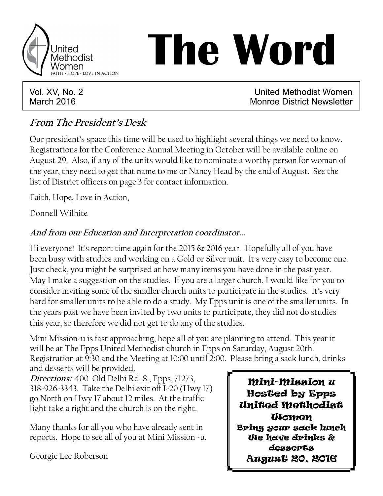

# **The Word**

Vol. XV, No. 2 United Methodist Women March 2016 Monroe District Newsletter

# **From The President's Desk**

Our president's space this time will be used to highlight several things we need to know. Registrations for the Conference Annual Meeting in October will be available online on August 29. Also, if any of the units would like to nominate a worthy person for woman of the year, they need to get that name to me or Nancy Head by the end of August. See the list of District officers on page 3 for contact information.

Faith, Hope, Love in Action,

Donnell Wilhite

# **And from our Education and Interpretation coordinator...**

Hi everyone! It's report time again for the 2015 & 2016 year. Hopefully all of you have been busy with studies and working on a Gold or Silver unit. It's very easy to become one. Just check, you might be surprised at how many items you have done in the past year. May I make a suggestion on the studies. If you are a larger church, I would like for you to consider inviting some of the smaller church units to participate in the studies. It's very hard for smaller units to be able to do a study. My Epps unit is one of the smaller units. In the years past we have been invited by two units to participate, they did not do studies this year, so therefore we did not get to do any of the studies.

Mini Mission-u is fast approaching, hope all of you are planning to attend. This year it will be at The Epps United Methodist church in Epps on Saturday, August 20th. Registration at 9:30 and the Meeting at 10:00 until 2:00. Please bring a sack lunch, drinks and desserts will be provided.

**Directions:** 400 Old Delhi Rd. S., Epps, 71273, 318-926-3343. Take the Delhi exit off I-20 (Hwy 17) go North on Hwy 17 about 12 miles. At the traffic light take a right and the church is on the right.

Many thanks for all you who have already sent in reports. Hope to see all of you at Mini Mission -u.

Georgie Lee Roberson

 $\mathbb{R}$  and  $\mathbb{R}$  are not work working the method  $\mathbb{R}$ Mini-Mission u Hosted by Epps United Methodist *Usomen* Bring your sack lunch We have drinks & desserts August 20, 2016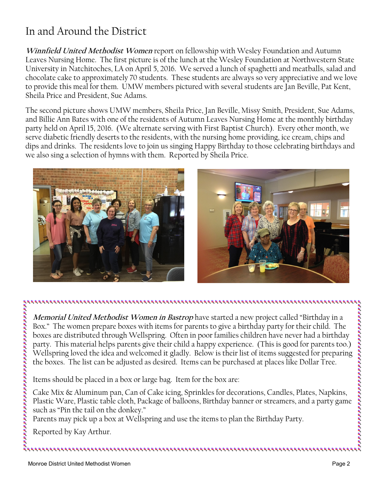# In and Around the District

**Winnfield United Methodist Women** report on fellowship with Wesley Foundation and Autumn Leaves Nursing Home. The first picture is of the lunch at the Wesley Foundation at Northwestern State University in Natchitoches, LA on April 5, 2016. We served a lunch of spaghetti and meatballs, salad and chocolate cake to approximately 70 students. These students are always so very appreciative and we love to provide this meal for them. UMW members pictured with several students are Jan Beville, Pat Kent, Sheila Price and President, Sue Adams.

The second picture shows UMW members, Sheila Price, Jan Beville, Missy Smith, President, Sue Adams, and Billie Ann Bates with one of the residents of Autumn Leaves Nursing Home at the monthly birthday party held on April 15, 2016. (We alternate serving with First Baptist Church). Every other month, we serve diabetic friendly deserts to the residents, with the nursing home providing, ice cream, chips and dips and drinks. The residents love to join us singing Happy Birthday to those celebrating birthdays and we also sing a selection of hymns with them. Reported by Sheila Price.



**Memorial United Methodist Women in Bastrop** have started a new project called "Birthday in a Box." The women prepare boxes with items for parents to give a birthday party for their child. The boxes are distributed through Wellspring. Often in poor families children have never had a birthday party. This material helps parents give their child a happy experience. (This is good for parents too.) Wellspring loved the idea and welcomed it gladly. Below is their list of items suggested for preparing the boxes. The list can be adjusted as desired. Items can be purchased at places like Dollar Tree.

Items should be placed in a box or large bag. Item for the box are:

Cake Mix & Aluminum pan, Can of Cake icing, Sprinkles for decorations, Candles, Plates, Napkins, Plastic Ware, Plastic table cloth, Package of balloons, Birthday banner or streamers, and a party game such as "Pin the tail on the donkey."

Parents may pick up a box at Wellspring and use the items to plan the Birthday Party.

Reported by Kay Arthur.

Monroe District United Methodist Women Page 2

「ななななななななななななななななななななななななななななななななななな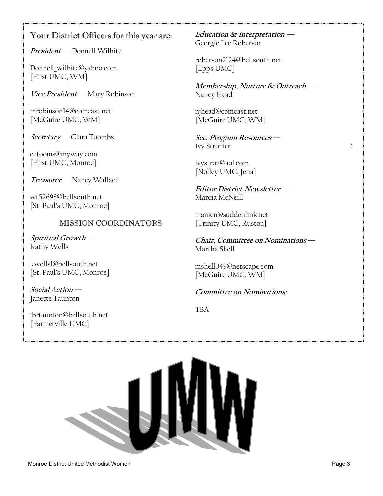### Your District Officers for this year are:

**President** — Donnell Wilhite

Donnell wilhite@yahoo.com [First UMC, WM]

**Vice President** — Mary Robinson

mrobinson14@comcast.net [McGuire UMC, WM]

**Secretary** — Clara Toombs

cetooms@myway.com [First UMC, Monroe]

**Treasurer** — Nancy Wallace

wt52698@bellsouth.net [St. Paul's UMC, Monroe]

#### MISSION COORDINATORS

**Spiritual Growth** — Kathy Wells

kwells1@bellsouth.net [St. Paul's UMC, Monroe]

**Social Action** — Janette Taunton

jbrtaunton@bellsouth.net [Farmerville UMC]

**Education & Interpretation —** Georgie Lee Roberson

roberson2124@bellsouth.net [Epps UMC]

**Membership, Nurture & Outreach** — Nancy Head

njhead@comcast.net [McGuire UMC, WM]

**Sec. Program Resources** — Ivy Strozier 3

ivystroz@aol.com [Nolley UMC, Jena]

**Editor District Newsletter** — Marcia McNeill

mamcn@suddenlink.net [Trinity UMC, Ruston]

**Chair, Committee on Nominations** — Martha Shell

mshell049@netscape.com [McGuire UMC, WM]

#### **Committee on Nominations:**

TBA

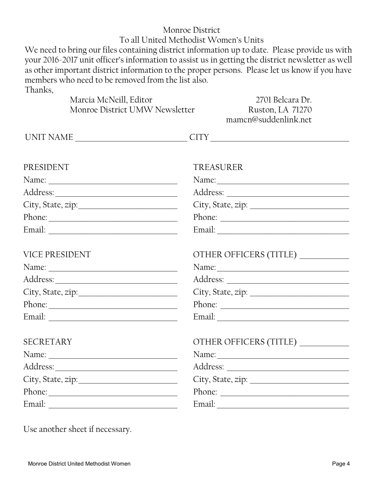## Monroe District

To all United Methodist Women's Units

We need to bring our files containing district information up to date. Please provide us with your 2016-2017 unit officer's information to assist us in getting the district newsletter as well as other important district information to the proper persons. Please let us know if you have members who need to be removed from the list also. Thanks,

|                       | Marcia McNeill, Editor<br>Monroe District UMW Newsletter                                                             | 2701 Belcara Dr.<br>Ruston, LA 71270<br>mamcn@suddenlink.net |
|-----------------------|----------------------------------------------------------------------------------------------------------------------|--------------------------------------------------------------|
|                       |                                                                                                                      | CITY                                                         |
| PRESIDENT             |                                                                                                                      | <b>TREASURER</b>                                             |
|                       | Name:                                                                                                                |                                                              |
|                       |                                                                                                                      |                                                              |
|                       |                                                                                                                      |                                                              |
|                       |                                                                                                                      | Phone:                                                       |
|                       |                                                                                                                      |                                                              |
| <b>VICE PRESIDENT</b> |                                                                                                                      | OTHER OFFICERS (TITLE) __________                            |
|                       |                                                                                                                      |                                                              |
|                       |                                                                                                                      |                                                              |
|                       |                                                                                                                      |                                                              |
|                       | Phone:                                                                                                               | Phone:                                                       |
|                       | Email: <u>Alexander and Alexander and Alexander and Alexander and Alexander and Alexander and Alexander and Alex</u> |                                                              |
| <b>SECRETARY</b>      |                                                                                                                      | OTHER OFFICERS (TITLE) __________                            |
|                       | Name:                                                                                                                | Name:                                                        |
|                       |                                                                                                                      |                                                              |
|                       |                                                                                                                      |                                                              |
|                       |                                                                                                                      | Phone:                                                       |
|                       |                                                                                                                      |                                                              |
|                       |                                                                                                                      |                                                              |

Use another sheet if necessary.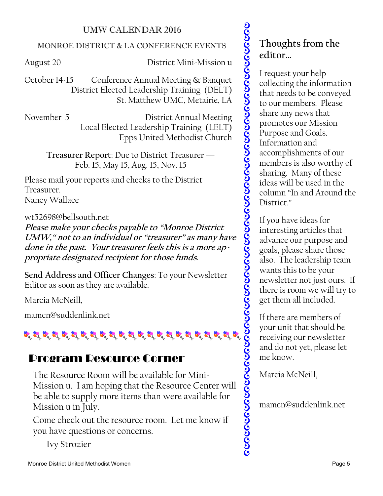## UMW CALENDAR 2016

## MONROE DISTRICT & LA CONFERENCE EVENTS

August 20 District Mini-Mission u

October 14-15 Conference Annual Meeting & Banquet District Elected Leadership Training (DELT) St. Matthew UMC, Metairie, LA

November 5 District Annual Meeting Local Elected Leadership Training (LELT) Epps United Methodist Church

> **Treasurer Report**: Due to District Treasurer — Feb. 15, May 15, Aug. 15, Nov. 15

Please mail your reports and checks to the District Treasurer. Nancy Wallace

wt52698@bellsouth.net

**Please make your checks payable to "Monroe District UMW," not to an individual or "treasurer" as many have done in the past. Your treasurer feels this is a more appropriate designated recipient for those funds.** 

**Send Address and Officer Changes**: To your Newsletter Editor as soon as they are available.

Marcia McNeill,

mamcn@suddenlink.net



# Program Resource Corner

The Resource Room will be available for Mini-Mission u. I am hoping that the Resource Center will be able to supply more items than were available for Mission u in July.

Come check out the resource room. Let me know if you have questions or concerns.

Ivy Strozier

**Thoughts from the editor…**

I request your help collecting the information that needs to be conveyed to our members. Please share any news that promotes our Mission Purpose and Goals. Information and accomplishments of our members is also worthy of sharing. Many of these ideas will be used in the column "In and Around the District."

If you have ideas for interesting articles that advance our purpose and goals, please share those also. The leadership team wants this to be your newsletter not just ours. If there is room we will try to get them all included.

If there are members of your unit that should be receiving our newsletter and do not yet, please let me know.

Marcia McNeill,

mamcn@suddenlink.net

Monroe District United Methodist Women Page 5